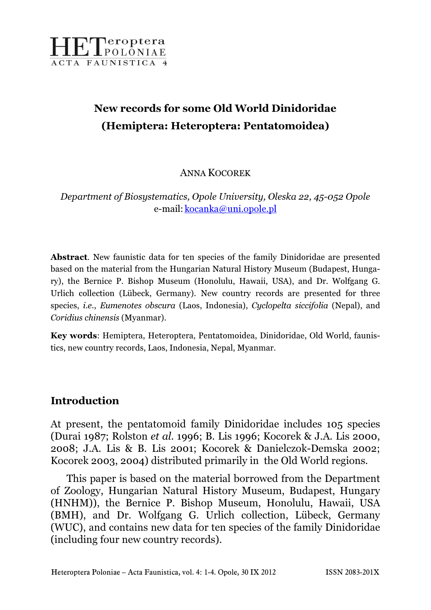

# New records for some Old World Dinidoridae (Hemiptera: Heteroptera: Pentatomoidea)

ANNA KOCOREK

Department of Biosystematics, Opole University, Oleska 22, 45-052 Opole e-mail: kocanka@uni.opole.pl

Abstract. New faunistic data for ten species of the family Dinidoridae are presented based on the material from the Hungarian Natural History Museum (Budapest, Hungary), the Bernice P. Bishop Museum (Honolulu, Hawaii, USA), and Dr. Wolfgang G. Urlich collection (Lübeck, Germany). New country records are presented for three species, *i.e., Eumenotes obscura* (Laos, Indonesia), *Cyclopelta siccifolia* (Nepal), and Coridius chinensis (Myanmar).

Key words: Hemiptera, Heteroptera, Pentatomoidea, Dinidoridae, Old World, faunistics, new country records, Laos, Indonesia, Nepal, Myanmar.

## Introduction

At present, the pentatomoid family Dinidoridae includes 105 species (Durai 1987; Rolston et al. 1996; B. Lis 1996; Kocorek & J.A. Lis 2000, 2008; J.A. Lis & B. Lis 2001; Kocorek & Danielczok-Demska 2002; Kocorek 2003, 2004) distributed primarily in the Old World regions.

This paper is based on the material borrowed from the Department of Zoology, Hungarian Natural History Museum, Budapest, Hungary (HNHM)), the Bernice P. Bishop Museum, Honolulu, Hawaii, USA (BMH), and Dr. Wolfgang G. Urlich collection, Lübeck, Germany (WUC), and contains new data for ten species of the family Dinidoridae (including four new country records).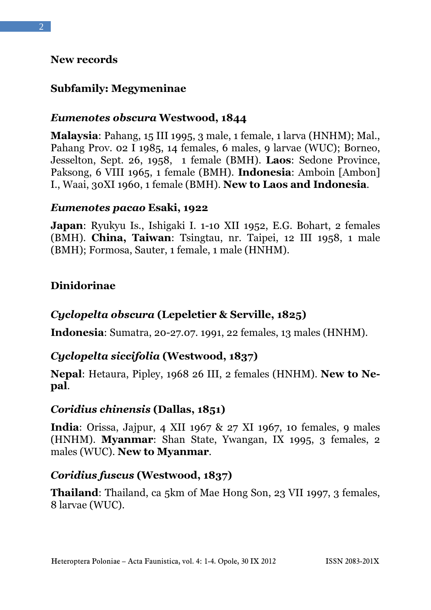#### New records

# Subfamily: Megymeninae

## Eumenotes obscura Westwood, 1844

Malaysia: Pahang, 15 III 1995, 3 male, 1 female, 1 larva (HNHM); Mal., Pahang Prov. 02 I 1985, 14 females, 6 males, 9 larvae (WUC); Borneo, Jesselton, Sept. 26, 1958, 1 female (BMH). Laos: Sedone Province, Paksong, 6 VIII 1965, 1 female (BMH). Indonesia: Amboin [Ambon] I., Waai, 30XI 1960, 1 female (BMH). New to Laos and Indonesia.

#### Eumenotes pacao Esaki, 1922

Japan: Ryukyu Is., Ishigaki I. 1-10 XII 1952, E.G. Bohart, 2 females (BMH). China, Taiwan: Tsingtau, nr. Taipei, 12 III 1958, 1 male (BMH); Formosa, Sauter, 1 female, 1 male (HNHM).

## Dinidorinae

## Cyclopelta obscura (Lepeletier & Serville, 1825)

Indonesia: Sumatra, 20-27.07. 1991, 22 females, 13 males (HNHM).

## Cyclopelta siccifolia (Westwood, 1837)

Nepal: Hetaura, Pipley, 1968 26 III, 2 females (HNHM). New to Nepal.

#### Coridius chinensis (Dallas, 1851)

India: Orissa, Jajpur, 4 XII 1967 & 27 XI 1967, 10 females, 9 males (HNHM). Myanmar: Shan State, Ywangan, IX 1995, 3 females, 2 males (WUC). New to Myanmar.

#### Coridius fuscus (Westwood, 1837)

Thailand: Thailand, ca 5km of Mae Hong Son, 23 VII 1997, 3 females, 8 larvae (WUC).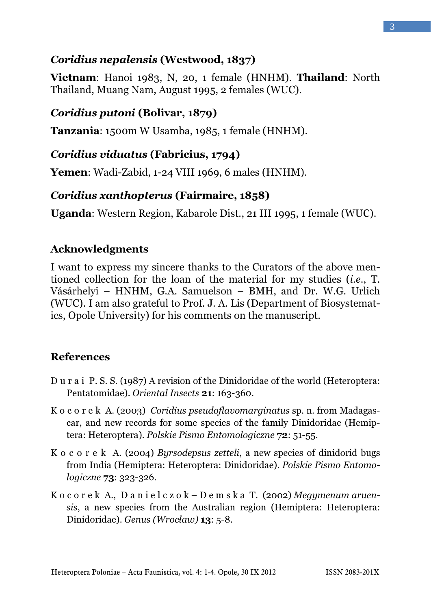# Coridius nepalensis (Westwood, 1837)

Vietnam: Hanoi 1983, N, 20, 1 female (HNHM). Thailand: North Thailand, Muang Nam, August 1995, 2 females (WUC).

# Coridius putoni (Bolivar, 1879)

Tanzania: 1500m W Usamba, 1985, 1 female (HNHM).

## Coridius viduatus (Fabricius, 1794)

Yemen: Wadi-Zabid, 1-24 VIII 1969, 6 males (HNHM).

## Coridius xanthopterus (Fairmaire, 1858)

Uganda: Western Region, Kabarole Dist., 21 III 1995, 1 female (WUC).

## Acknowledgments

I want to express my sincere thanks to the Curators of the above mentioned collection for the loan of the material for my studies (i.e., T. Vásárhelyi – HNHM, G.A. Samuelson – BMH, and Dr. W.G. Urlich (WUC). I am also grateful to Prof. J. A. Lis (Department of Biosystematics, Opole University) for his comments on the manuscript.

## References

- D u r a i P. S. S. (1987) A revision of the Dinidoridae of the world (Heteroptera: Pentatomidae). Oriental Insects 21: 163-360.
- K o c o r e k A. (2003) Coridius pseudoflavomarginatus sp. n. from Madagascar, and new records for some species of the family Dinidoridae (Hemiptera: Heteroptera). Polskie Pismo Entomologiczne 72: 51-55.
- K o c o r e k A. (2004) Byrsodepsus zetteli, a new species of dinidorid bugs from India (Hemiptera: Heteroptera: Dinidoridae). Polskie Pismo Entomologiczne 73: 323-326.
- K o c o r e k A., D a n i e l c z o k D e m s k a T. (2002) Megymenum aruensis, a new species from the Australian region (Hemiptera: Heteroptera: Dinidoridae). Genus (Wrocław) 13: 5-8.